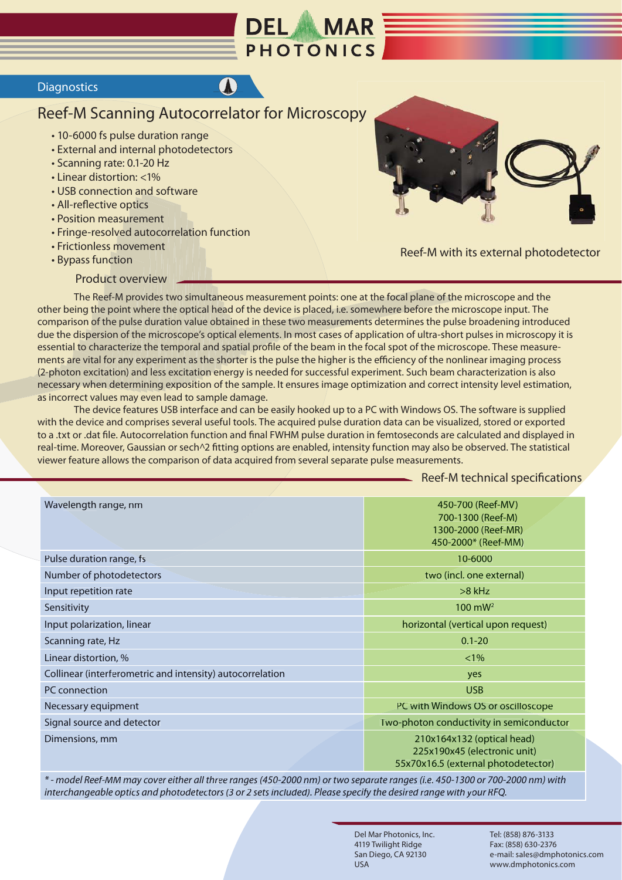

## **Diagnostics**

## Reef-M Scanning Autocorrelator for Microscopy

- 10-6000 fs pulse duration range
- External and internal photodetectors
- Scanning rate: 0.1-20 Hz
- Linear distortion: <1%
- USB connection and software
- All-reflective optics
- Position measurement
- Fringe-resolved autocorrelation function
- Frictionless movement
- Bypass function





Reef-M with its external photodetector

 The Reef-M provides two simultaneous measurement points: one at the focal plane of the microscope and the other being the point where the optical head of the device is placed, i.e. somewhere before the microscope input. The comparison of the pulse duration value obtained in these two measurements determines the pulse broadening introduced due the dispersion of the microscope's optical elements. In most cases of application of ultra-short pulses in microscopy it is essential to characterize the temporal and spatial profile of the beam in the focal spot of the microscope. These measurements are vital for any experiment as the shorter is the pulse the higher is the efficiency of the nonlinear imaging process (2-photon excitation) and less excitation energy is needed for successful experiment. Such beam characterization is also necessary when determining exposition of the sample. It ensures image optimization and correct intensity level estimation, as incorrect values may even lead to sample damage. Level-M Scanning Autocorrelator for Microscopy<br>
1-B-16000 fs pulse duration range<br>
1-B-termal and internal photodetectors<br>
1-B-termal and internal photodetectors<br>
1-Rictioneles of the state distortion and software<br>
1-Ricti

 The device features USB interface and can be easily hooked up to a PC with Windows OS. The software is supplied with the device and comprises several useful tools. The acquired pulse duration data can be visualized, stored or exported to a .txt or .dat file. Autocorrelation function and final FWHM pulse duration in femtoseconds are calculated and displayed in real-time. Moreover, Gaussian or sech^2 fitting options are enabled, intensity function may also be observed. The statistical viewer feature allows the comparison of data acquired from several separate pulse measurements.

## Reef-M technical specifications

| Wavelength range, nm                                      | 450-700 (Reef-MV)<br>700-1300 (Reef-M)<br>1300-2000 (Reef-MR)<br>450-2000* (Reef-MM)              |
|-----------------------------------------------------------|---------------------------------------------------------------------------------------------------|
| Pulse duration range, fs                                  | 10-6000                                                                                           |
| Number of photodetectors                                  | two (incl. one external)                                                                          |
| Input repetition rate                                     | $>8$ kHz                                                                                          |
| Sensitivity                                               | $100 \text{ mW}^2$                                                                                |
| Input polarization, linear                                | horizontal (vertical upon request)                                                                |
| Scanning rate, Hz                                         | $0.1 - 20$                                                                                        |
| Linear distortion, %                                      | $< 1\%$                                                                                           |
| Collinear (interferometric and intensity) autocorrelation | yes                                                                                               |
| PC connection                                             | <b>USB</b>                                                                                        |
| Necessary equipment                                       | PC with Windows OS or oscilloscope                                                                |
| Signal source and detector                                | Two-photon conductivity in semiconductor                                                          |
| Dimensions, mm                                            | 210x164x132 (optical head)<br>225x190x45 (electronic unit)<br>55x70x16.5 (external photodetector) |

*\* - model Reef-MM may cover either all three ranges (450-2000 nm) or two separate ranges (i.e. 450-1300 or 700-2000 nm) with interchangeable optics and photodetectors (3 or 2 sets included). Please specify the desired range with your RFQ.*

> Del Mar Photonics, Inc. 4119 Twilight Ridge San Diego, CA 92130 USA

Tel: (858) 876-3133 Fax: (858) 630-2376 e-mail: sales@dmphotonics.com www.dmphotonics.com